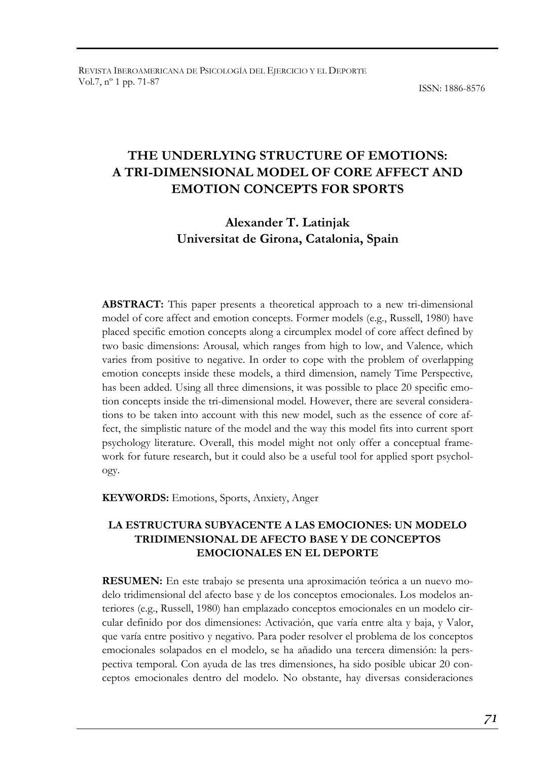ISSN: 1886-8576

# **THE UNDERLYING STRUCTURE OF EMOTIONS: A TRI-DIMENSIONAL MODEL OF CORE AFFECT AND EMOTION CONCEPTS FOR SPORTS**

# **Alexander T. Latinjak Universitat de Girona, Catalonia, Spain**

**ABSTRACT:** This paper presents a theoretical approach to a new tri-dimensional model of core affect and emotion concepts. Former models (e.g., Russell, 1980) have placed specific emotion concepts along a circumplex model of core affect defined by two basic dimensions: Arousal*,* which ranges from high to low, and Valence*,* which varies from positive to negative. In order to cope with the problem of overlapping emotion concepts inside these models, a third dimension, namely Time Perspective*,*  has been added. Using all three dimensions, it was possible to place 20 specific emotion concepts inside the tri-dimensional model. However, there are several considerations to be taken into account with this new model, such as the essence of core affect, the simplistic nature of the model and the way this model fits into current sport psychology literature. Overall, this model might not only offer a conceptual framework for future research, but it could also be a useful tool for applied sport psychology.

**KEYWORDS:** Emotions, Sports, Anxiety, Anger

### **LA ESTRUCTURA SUBYACENTE A LAS EMOCIONES: UN MODELO TRIDIMENSIONAL DE AFECTO BASE Y DE CONCEPTOS EMOCIONALES EN EL DEPORTE**

**RESUMEN:** En este trabajo se presenta una aproximación teórica a un nuevo modelo tridimensional del afecto base y de los conceptos emocionales. Los modelos anteriores (e.g., Russell, 1980) han emplazado conceptos emocionales en un modelo circular definido por dos dimensiones: Activación, que varía entre alta y baja, y Valor, que varía entre positivo y negativo. Para poder resolver el problema de los conceptos emocionales solapados en el modelo, se ha añadido una tercera dimensión: la perspectiva temporal. Con ayuda de las tres dimensiones, ha sido posible ubicar 20 conceptos emocionales dentro del modelo. No obstante, hay diversas consideraciones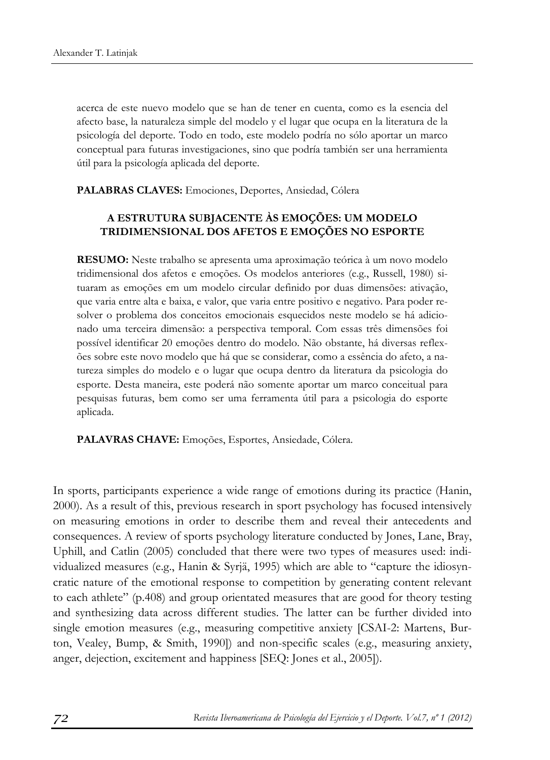acerca de este nuevo modelo que se han de tener en cuenta, como es la esencia del afecto base, la naturaleza simple del modelo y el lugar que ocupa en la literatura de la psicología del deporte. Todo en todo, este modelo podría no sólo aportar un marco conceptual para futuras investigaciones, sino que podría también ser una herramienta útil para la psicología aplicada del deporte.

**PALABRAS CLAVES:** Emociones, Deportes, Ansiedad, Cólera

## **A ESTRUTURA SUBJACENTE ÀS EMOÇÕES: UM MODELO TRIDIMENSIONAL DOS AFETOS E EMOÇÕES NO ESPORTE**

**RESUMO:** Neste trabalho se apresenta uma aproximação teórica à um novo modelo tridimensional dos afetos e emoções. Os modelos anteriores (e.g., Russell, 1980) situaram as emoções em um modelo circular definido por duas dimensões: ativação, que varia entre alta e baixa, e valor, que varia entre positivo e negativo. Para poder resolver o problema dos conceitos emocionais esquecidos neste modelo se há adicionado uma terceira dimensão: a perspectiva temporal. Com essas três dimensões foi possível identificar 20 emoções dentro do modelo. Não obstante, há diversas reflexões sobre este novo modelo que há que se considerar, como a essência do afeto, a natureza simples do modelo e o lugar que ocupa dentro da literatura da psicologia do esporte. Desta maneira, este poderá não somente aportar um marco conceitual para pesquisas futuras, bem como ser uma ferramenta útil para a psicologia do esporte aplicada.

**PALAVRAS CHAVE:** Emoções, Esportes, Ansiedade, Cólera.

In sports, participants experience a wide range of emotions during its practice (Hanin, 2000). As a result of this, previous research in sport psychology has focused intensively on measuring emotions in order to describe them and reveal their antecedents and consequences. A review of sports psychology literature conducted by Jones, Lane, Bray, Uphill, and Catlin (2005) concluded that there were two types of measures used: individualized measures (e.g., Hanin & Syrjä, 1995) which are able to "capture the idiosyncratic nature of the emotional response to competition by generating content relevant to each athlete" (p.408) and group orientated measures that are good for theory testing and synthesizing data across different studies. The latter can be further divided into single emotion measures (e.g., measuring competitive anxiety [CSAI-2: Martens, Burton, Vealey, Bump, & Smith, 1990]) and non-specific scales (e.g., measuring anxiety, anger, dejection, excitement and happiness [SEQ: Jones et al., 2005]).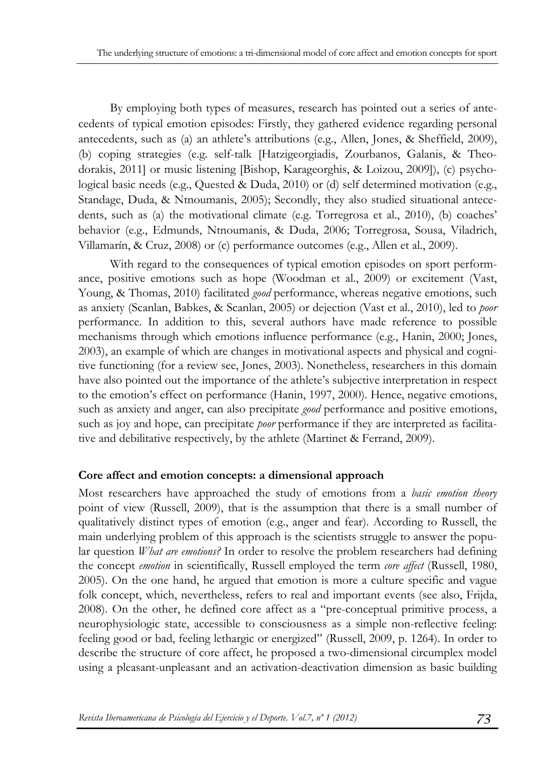By employing both types of measures, research has pointed out a series of antecedents of typical emotion episodes: Firstly, they gathered evidence regarding personal antecedents, such as (a) an athlete's attributions (e.g., Allen, Jones, & Sheffield, 2009), (b) coping strategies (e.g. self-talk [Hatzigeorgiadis, Zourbanos, Galanis, & Theodorakis, 2011] or music listening [Bishop, Karageorghis, & Loizou, 2009]), (c) psychological basic needs (e.g., Quested & Duda, 2010) or (d) self determined motivation (e.g., Standage, Duda, & Ntnoumanis, 2005); Secondly, they also studied situational antecedents, such as (a) the motivational climate (e.g. Torregrosa et al., 2010), (b) coaches' behavior (e.g., Edmunds, Ntnoumanis, & Duda, 2006; Torregrosa, Sousa, Viladrich, Villamarín, & Cruz, 2008) or (c) performance outcomes (e.g., Allen et al., 2009).

With regard to the consequences of typical emotion episodes on sport performance, positive emotions such as hope (Woodman et al., 2009) or excitement (Vast, Young, & Thomas, 2010) facilitated *good* performance, whereas negative emotions, such as anxiety (Scanlan, Babkes, & Scanlan, 2005) or dejection (Vast et al., 2010), led to *poor*  performance. In addition to this, several authors have made reference to possible mechanisms through which emotions influence performance (e.g., Hanin, 2000; Jones, 2003), an example of which are changes in motivational aspects and physical and cognitive functioning (for a review see, Jones, 2003). Nonetheless, researchers in this domain have also pointed out the importance of the athlete's subjective interpretation in respect to the emotion's effect on performance (Hanin, 1997, 2000). Hence, negative emotions, such as anxiety and anger, can also precipitate *good* performance and positive emotions, such as joy and hope, can precipitate *poor* performance if they are interpreted as facilitative and debilitative respectively, by the athlete (Martinet & Ferrand, 2009).

#### **Core affect and emotion concepts: a dimensional approach**

Most researchers have approached the study of emotions from a *basic emotion theory*  point of view (Russell, 2009), that is the assumption that there is a small number of qualitatively distinct types of emotion (e.g., anger and fear). According to Russell, the main underlying problem of this approach is the scientists struggle to answer the popular question *What are emotions?* In order to resolve the problem researchers had defining the concept *emotion* in scientifically, Russell employed the term *core affect* (Russell, 1980, 2005). On the one hand, he argued that emotion is more a culture specific and vague folk concept, which, nevertheless, refers to real and important events (see also, Frijda, 2008). On the other, he defined core affect as a "pre-conceptual primitive process, a neurophysiologic state, accessible to consciousness as a simple non-reflective feeling: feeling good or bad, feeling lethargic or energized" (Russell, 2009, p. 1264). In order to describe the structure of core affect, he proposed a two-dimensional circumplex model using a pleasant-unpleasant and an activation-deactivation dimension as basic building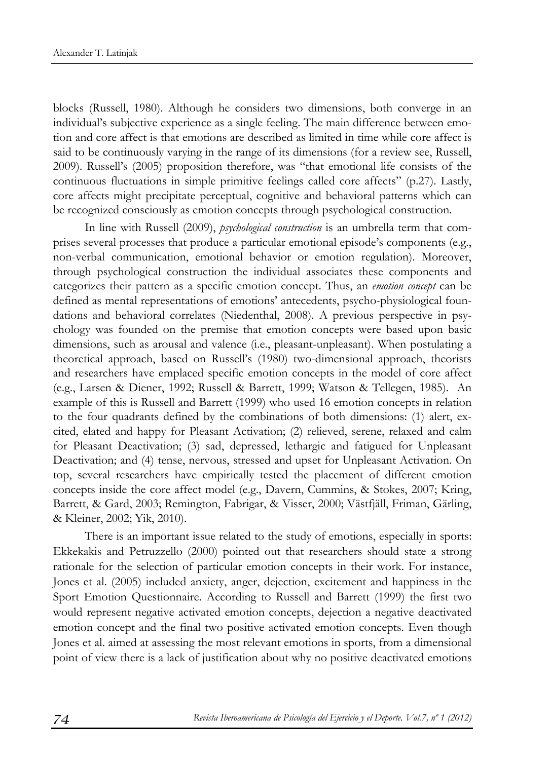blocks (Russell, 1980). Although he considers two dimensions, both converge in an individual's subjective experience as a single feeling. The main difference between emotion and core affect is that emotions are described as limited in time while core affect is said to be continuously varying in the range of its dimensions (for a review see, Russell, 2009). Russell's (2005) proposition therefore, was "that emotional life consists of the continuous fluctuations in simple primitive feelings called core affects" (p.27). Lastly, core affects might precipitate perceptual, cognitive and behavioral patterns which can be recognized consciously as emotion concepts through psychological construction.

In line with Russell (2009), *psychological construction* is an umbrella term that comprises several processes that produce a particular emotional episode's components (e.g., non-verbal communication, emotional behavior or emotion regulation). Moreover, through psychological construction the individual associates these components and categorizes their pattern as a specific emotion concept. Thus, an *emotion concept* can be defined as mental representations of emotions' antecedents, psycho-physiological foundations and behavioral correlates (Niedenthal, 2008). A previous perspective in psychology was founded on the premise that emotion concepts were based upon basic dimensions, such as arousal and valence (i.e., pleasant-unpleasant). When postulating a theoretical approach, based on Russell's (1980) two-dimensional approach, theorists and researchers have emplaced specific emotion concepts in the model of core affect (e.g., Larsen & Diener, 1992; Russell & Barrett, 1999; Watson & Tellegen, 1985). An example of this is Russell and Barrett (1999) who used 16 emotion concepts in relation to the four quadrants defined by the combinations of both dimensions: (1) alert, excited, elated and happy for Pleasant Activation; (2) relieved, serene, relaxed and calm for Pleasant Deactivation; (3) sad, depressed, lethargic and fatigued for Unpleasant Deactivation; and (4) tense, nervous, stressed and upset for Unpleasant Activation. On top, several researchers have empirically tested the placement of different emotion concepts inside the core affect model (e.g., Davern, Cummins, & Stokes, 2007; Kring, Barrett, & Gard, 2003; Remington, Fabrigar, & Visser, 2000; Västfjäll, Friman, Gärling, & Kleiner, 2002; Yik, 2010).

There is an important issue related to the study of emotions, especially in sports: Ekkekakis and Petruzzello (2000) pointed out that researchers should state a strong rationale for the selection of particular emotion concepts in their work. For instance, Jones et al. (2005) included anxiety, anger, dejection, excitement and happiness in the Sport Emotion Questionnaire. According to Russell and Barrett (1999) the first two would represent negative activated emotion concepts, dejection a negative deactivated emotion concept and the final two positive activated emotion concepts. Even though Jones et al. aimed at assessing the most relevant emotions in sports, from a dimensional point of view there is a lack of justification about why no positive deactivated emotions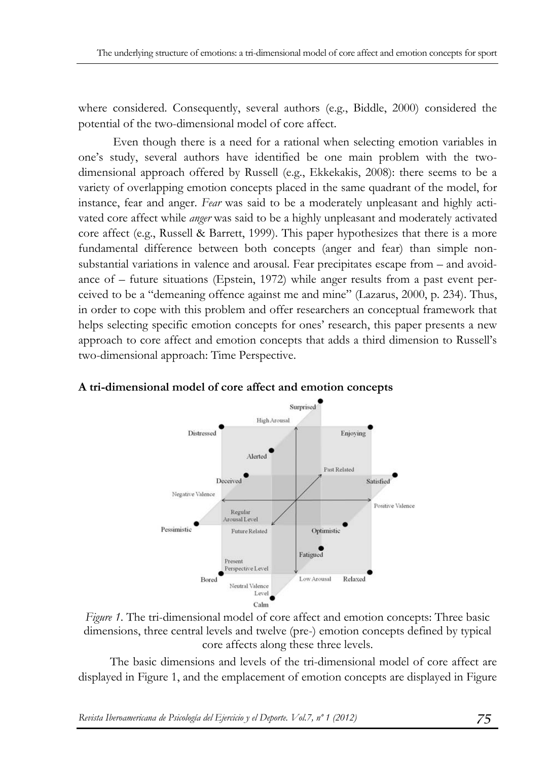where considered. Consequently, several authors (e.g., Biddle, 2000) considered the potential of the two-dimensional model of core affect.

 Even though there is a need for a rational when selecting emotion variables in one's study, several authors have identified be one main problem with the twodimensional approach offered by Russell (e.g., Ekkekakis, 2008): there seems to be a variety of overlapping emotion concepts placed in the same quadrant of the model, for instance, fear and anger. *Fear* was said to be a moderately unpleasant and highly activated core affect while *anger* was said to be a highly unpleasant and moderately activated core affect (e.g., Russell & Barrett, 1999). This paper hypothesizes that there is a more fundamental difference between both concepts (anger and fear) than simple nonsubstantial variations in valence and arousal. Fear precipitates escape from – and avoidance of – future situations (Epstein, 1972) while anger results from a past event perceived to be a "demeaning offence against me and mine" (Lazarus, 2000, p. 234). Thus, in order to cope with this problem and offer researchers an conceptual framework that helps selecting specific emotion concepts for ones' research, this paper presents a new approach to core affect and emotion concepts that adds a third dimension to Russell's two-dimensional approach: Time Perspective.



### **A tri-dimensional model of core affect and emotion concepts**

*Figure 1*. The tri-dimensional model of core affect and emotion concepts: Three basic dimensions, three central levels and twelve (pre-) emotion concepts defined by typical core affects along these three levels.

The basic dimensions and levels of the tri-dimensional model of core affect are displayed in Figure 1, and the emplacement of emotion concepts are displayed in Figure

*Revista Iberoamericana de Psicología del Ejercicio y el Deporte. Vol.7, nº 1 (2012) 75*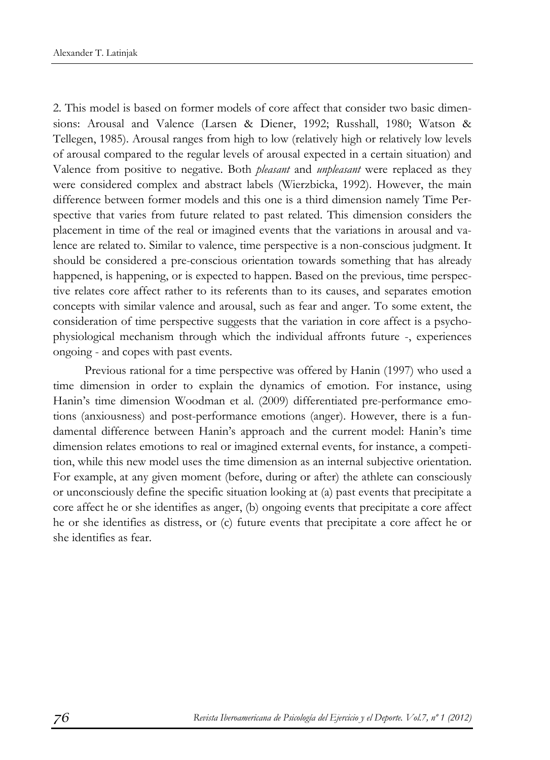2. This model is based on former models of core affect that consider two basic dimensions: Arousal and Valence (Larsen & Diener, 1992; Russhall, 1980; Watson & Tellegen, 1985). Arousal ranges from high to low (relatively high or relatively low levels of arousal compared to the regular levels of arousal expected in a certain situation) and Valence from positive to negative. Both *pleasant* and *unpleasant* were replaced as they were considered complex and abstract labels (Wierzbicka, 1992). However, the main difference between former models and this one is a third dimension namely Time Perspective that varies from future related to past related. This dimension considers the placement in time of the real or imagined events that the variations in arousal and valence are related to. Similar to valence, time perspective is a non-conscious judgment. It should be considered a pre-conscious orientation towards something that has already happened, is happening, or is expected to happen. Based on the previous, time perspective relates core affect rather to its referents than to its causes, and separates emotion concepts with similar valence and arousal, such as fear and anger. To some extent, the consideration of time perspective suggests that the variation in core affect is a psychophysiological mechanism through which the individual affronts future -, experiences ongoing - and copes with past events.

Previous rational for a time perspective was offered by Hanin (1997) who used a time dimension in order to explain the dynamics of emotion. For instance, using Hanin's time dimension Woodman et al. (2009) differentiated pre-performance emotions (anxiousness) and post-performance emotions (anger). However, there is a fundamental difference between Hanin's approach and the current model: Hanin's time dimension relates emotions to real or imagined external events, for instance, a competition, while this new model uses the time dimension as an internal subjective orientation. For example, at any given moment (before, during or after) the athlete can consciously or unconsciously define the specific situation looking at (a) past events that precipitate a core affect he or she identifies as anger, (b) ongoing events that precipitate a core affect he or she identifies as distress, or (c) future events that precipitate a core affect he or she identifies as fear.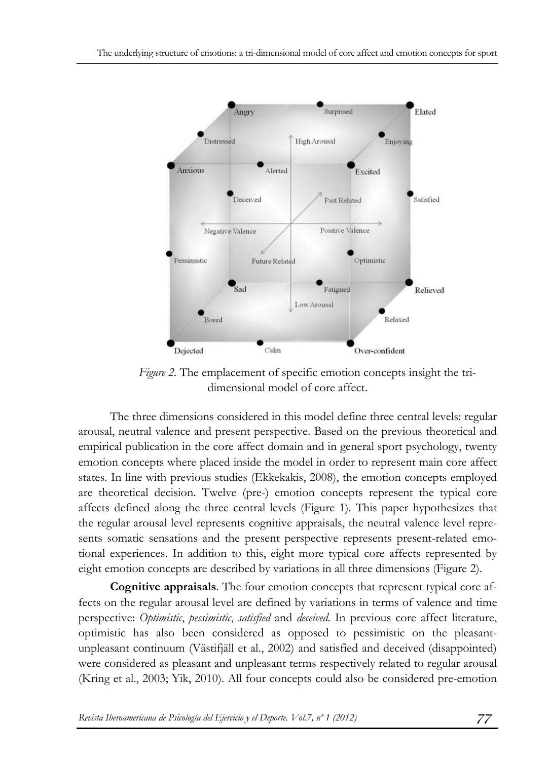

*Figure 2.* The emplacement of specific emotion concepts insight the tridimensional model of core affect.

The three dimensions considered in this model define three central levels: regular arousal, neutral valence and present perspective. Based on the previous theoretical and empirical publication in the core affect domain and in general sport psychology, twenty emotion concepts where placed inside the model in order to represent main core affect states. In line with previous studies (Ekkekakis, 2008), the emotion concepts employed are theoretical decision. Twelve (pre-) emotion concepts represent the typical core affects defined along the three central levels (Figure 1). This paper hypothesizes that the regular arousal level represents cognitive appraisals, the neutral valence level represents somatic sensations and the present perspective represents present-related emotional experiences. In addition to this, eight more typical core affects represented by eight emotion concepts are described by variations in all three dimensions (Figure 2).

**Cognitive appraisals**. The four emotion concepts that represent typical core affects on the regular arousal level are defined by variations in terms of valence and time perspective: *Optimistic*, *pessimistic*, *satisfied* and *deceived*. In previous core affect literature, optimistic has also been considered as opposed to pessimistic on the pleasantunpleasant continuum (Västifjäll et al., 2002) and satisfied and deceived (disappointed) were considered as pleasant and unpleasant terms respectively related to regular arousal (Kring et al., 2003; Yik, 2010). All four concepts could also be considered pre-emotion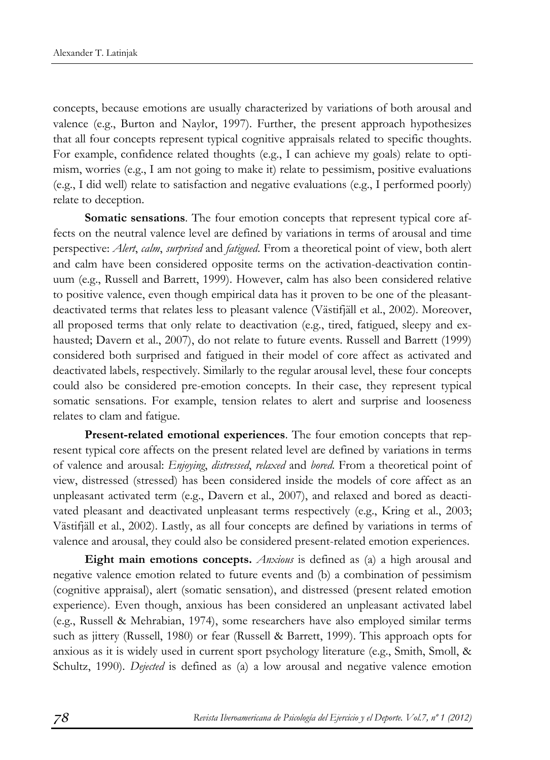concepts, because emotions are usually characterized by variations of both arousal and valence (e.g., Burton and Naylor, 1997). Further, the present approach hypothesizes that all four concepts represent typical cognitive appraisals related to specific thoughts. For example, confidence related thoughts (e.g., I can achieve my goals) relate to optimism, worries (e.g., I am not going to make it) relate to pessimism, positive evaluations (e.g., I did well) relate to satisfaction and negative evaluations (e.g., I performed poorly) relate to deception.

**Somatic sensations**. The four emotion concepts that represent typical core affects on the neutral valence level are defined by variations in terms of arousal and time perspective: *Alert*, *calm*, *surprised* and *fatigued*. From a theoretical point of view, both alert and calm have been considered opposite terms on the activation-deactivation continuum (e.g., Russell and Barrett, 1999). However, calm has also been considered relative to positive valence, even though empirical data has it proven to be one of the pleasantdeactivated terms that relates less to pleasant valence (Västifjäll et al., 2002). Moreover, all proposed terms that only relate to deactivation (e.g., tired, fatigued, sleepy and exhausted; Davern et al., 2007), do not relate to future events. Russell and Barrett (1999) considered both surprised and fatigued in their model of core affect as activated and deactivated labels, respectively. Similarly to the regular arousal level, these four concepts could also be considered pre-emotion concepts. In their case, they represent typical somatic sensations. For example, tension relates to alert and surprise and looseness relates to clam and fatigue.

**Present-related emotional experiences**. The four emotion concepts that represent typical core affects on the present related level are defined by variations in terms of valence and arousal: *Enjoying*, *distressed*, *relaxed* and *bored*. From a theoretical point of view, distressed (stressed) has been considered inside the models of core affect as an unpleasant activated term (e.g., Davern et al., 2007), and relaxed and bored as deactivated pleasant and deactivated unpleasant terms respectively (e.g., Kring et al., 2003; Västifjäll et al., 2002). Lastly, as all four concepts are defined by variations in terms of valence and arousal, they could also be considered present-related emotion experiences.

**Eight main emotions concepts.** *Anxious* is defined as (a) a high arousal and negative valence emotion related to future events and (b) a combination of pessimism (cognitive appraisal), alert (somatic sensation), and distressed (present related emotion experience). Even though, anxious has been considered an unpleasant activated label (e.g., Russell & Mehrabian, 1974), some researchers have also employed similar terms such as jittery (Russell, 1980) or fear (Russell & Barrett, 1999). This approach opts for anxious as it is widely used in current sport psychology literature (e.g., Smith, Smoll, & Schultz, 1990). *Dejected* is defined as (a) a low arousal and negative valence emotion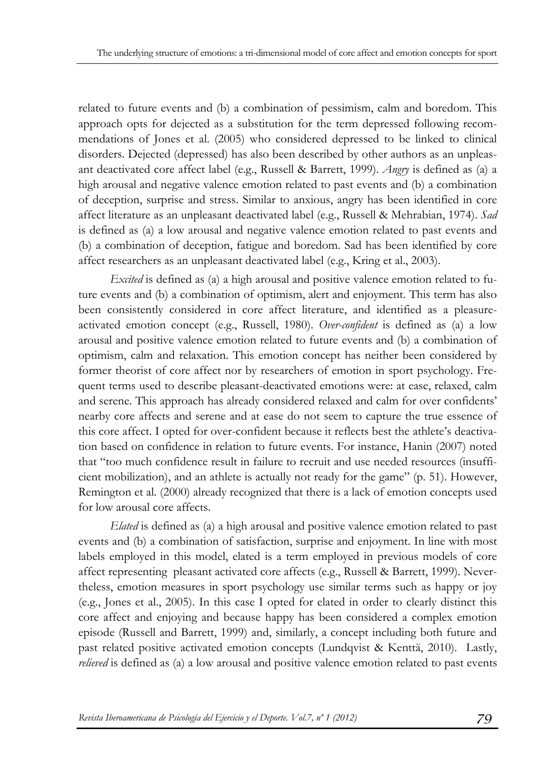related to future events and (b) a combination of pessimism, calm and boredom. This approach opts for dejected as a substitution for the term depressed following recommendations of Jones et al. (2005) who considered depressed to be linked to clinical disorders. Dejected (depressed) has also been described by other authors as an unpleasant deactivated core affect label (e.g., Russell & Barrett, 1999). *Angry* is defined as (a) a high arousal and negative valence emotion related to past events and (b) a combination of deception, surprise and stress. Similar to anxious, angry has been identified in core affect literature as an unpleasant deactivated label (e.g., Russell & Mehrabian, 1974). *Sad* is defined as (a) a low arousal and negative valence emotion related to past events and (b) a combination of deception, fatigue and boredom. Sad has been identified by core affect researchers as an unpleasant deactivated label (e.g., Kring et al., 2003).

*Excited* is defined as (a) a high arousal and positive valence emotion related to future events and (b) a combination of optimism, alert and enjoyment. This term has also been consistently considered in core affect literature, and identified as a pleasureactivated emotion concept (e.g., Russell, 1980). *Over-confident* is defined as (a) a low arousal and positive valence emotion related to future events and (b) a combination of optimism, calm and relaxation. This emotion concept has neither been considered by former theorist of core affect nor by researchers of emotion in sport psychology. Frequent terms used to describe pleasant-deactivated emotions were: at ease, relaxed, calm and serene. This approach has already considered relaxed and calm for over confidents' nearby core affects and serene and at ease do not seem to capture the true essence of this core affect. I opted for over-confident because it reflects best the athlete's deactivation based on confidence in relation to future events. For instance, Hanin (2007) noted that "too much confidence result in failure to recruit and use needed resources (insufficient mobilization), and an athlete is actually not ready for the game" (p. 51). However, Remington et al. (2000) already recognized that there is a lack of emotion concepts used for low arousal core affects.

*Elated* is defined as (a) a high arousal and positive valence emotion related to past events and (b) a combination of satisfaction, surprise and enjoyment. In line with most labels employed in this model, elated is a term employed in previous models of core affect representing pleasant activated core affects (e.g., Russell & Barrett, 1999). Nevertheless, emotion measures in sport psychology use similar terms such as happy or joy (e.g., Jones et al., 2005). In this case I opted for elated in order to clearly distinct this core affect and enjoying and because happy has been considered a complex emotion episode (Russell and Barrett, 1999) and, similarly, a concept including both future and past related positive activated emotion concepts (Lundqvist & Kenttä, 2010). Lastly, *relieved* is defined as (a) a low arousal and positive valence emotion related to past events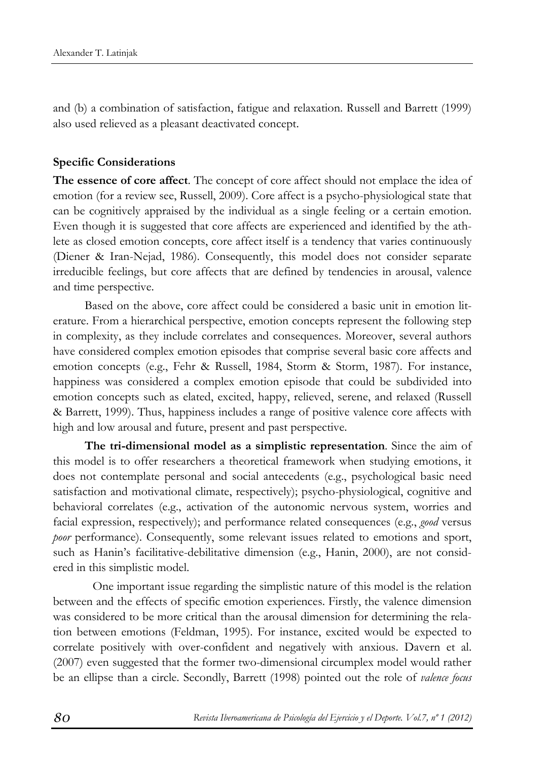and (b) a combination of satisfaction, fatigue and relaxation. Russell and Barrett (1999) also used relieved as a pleasant deactivated concept.

#### **Specific Considerations**

**The essence of core affect**. The concept of core affect should not emplace the idea of emotion (for a review see, Russell, 2009). Core affect is a psycho-physiological state that can be cognitively appraised by the individual as a single feeling or a certain emotion. Even though it is suggested that core affects are experienced and identified by the athlete as closed emotion concepts, core affect itself is a tendency that varies continuously (Diener & Iran-Nejad, 1986). Consequently, this model does not consider separate irreducible feelings, but core affects that are defined by tendencies in arousal, valence and time perspective.

Based on the above, core affect could be considered a basic unit in emotion literature. From a hierarchical perspective, emotion concepts represent the following step in complexity, as they include correlates and consequences. Moreover, several authors have considered complex emotion episodes that comprise several basic core affects and emotion concepts (e.g., Fehr & Russell, 1984, Storm & Storm, 1987). For instance, happiness was considered a complex emotion episode that could be subdivided into emotion concepts such as elated, excited, happy, relieved, serene, and relaxed (Russell & Barrett, 1999). Thus, happiness includes a range of positive valence core affects with high and low arousal and future, present and past perspective.

**The tri-dimensional model as a simplistic representation**. Since the aim of this model is to offer researchers a theoretical framework when studying emotions, it does not contemplate personal and social antecedents (e.g., psychological basic need satisfaction and motivational climate, respectively); psycho-physiological, cognitive and behavioral correlates (e.g., activation of the autonomic nervous system, worries and facial expression, respectively); and performance related consequences (e.g., *good* versus *poor* performance). Consequently, some relevant issues related to emotions and sport, such as Hanin's facilitative-debilitative dimension (e.g., Hanin, 2000), are not considered in this simplistic model.

 One important issue regarding the simplistic nature of this model is the relation between and the effects of specific emotion experiences. Firstly, the valence dimension was considered to be more critical than the arousal dimension for determining the relation between emotions (Feldman, 1995). For instance, excited would be expected to correlate positively with over-confident and negatively with anxious. Davern et al. (2007) even suggested that the former two-dimensional circumplex model would rather be an ellipse than a circle. Secondly, Barrett (1998) pointed out the role of *valence focus*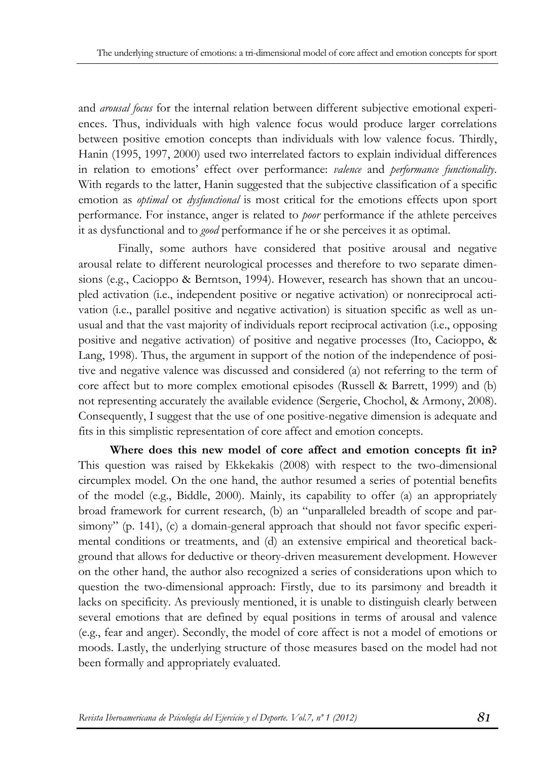and *arousal focus* for the internal relation between different subjective emotional experiences. Thus, individuals with high valence focus would produce larger correlations between positive emotion concepts than individuals with low valence focus. Thirdly, Hanin (1995, 1997, 2000) used two interrelated factors to explain individual differences in relation to emotions' effect over performance: *valence* and *performance functionality*. With regards to the latter, Hanin suggested that the subjective classification of a specific emotion as *optimal* or *dysfunctional* is most critical for the emotions effects upon sport performance. For instance, anger is related to *poor* performance if the athlete perceives it as dysfunctional and to *good* performance if he or she perceives it as optimal.

 Finally, some authors have considered that positive arousal and negative arousal relate to different neurological processes and therefore to two separate dimensions (e.g., Cacioppo & Berntson, 1994). However, research has shown that an uncoupled activation (i.e., independent positive or negative activation) or nonreciprocal activation (i.e., parallel positive and negative activation) is situation specific as well as unusual and that the vast majority of individuals report reciprocal activation (i.e., opposing positive and negative activation) of positive and negative processes (Ito, Cacioppo, & Lang, 1998). Thus, the argument in support of the notion of the independence of positive and negative valence was discussed and considered (a) not referring to the term of core affect but to more complex emotional episodes (Russell & Barrett, 1999) and (b) not representing accurately the available evidence (Sergerie, Chochol, & Armony, 2008). Consequently, I suggest that the use of one positive-negative dimension is adequate and fits in this simplistic representation of core affect and emotion concepts.

**Where does this new model of core affect and emotion concepts fit in?** This question was raised by Ekkekakis (2008) with respect to the two-dimensional circumplex model. On the one hand, the author resumed a series of potential benefits of the model (e.g., Biddle, 2000). Mainly, its capability to offer (a) an appropriately broad framework for current research, (b) an "unparalleled breadth of scope and parsimony" (p. 141), (c) a domain-general approach that should not favor specific experimental conditions or treatments, and (d) an extensive empirical and theoretical background that allows for deductive or theory-driven measurement development. However on the other hand, the author also recognized a series of considerations upon which to question the two-dimensional approach: Firstly, due to its parsimony and breadth it lacks on specificity. As previously mentioned, it is unable to distinguish clearly between several emotions that are defined by equal positions in terms of arousal and valence (e.g., fear and anger). Secondly, the model of core affect is not a model of emotions or moods. Lastly, the underlying structure of those measures based on the model had not been formally and appropriately evaluated.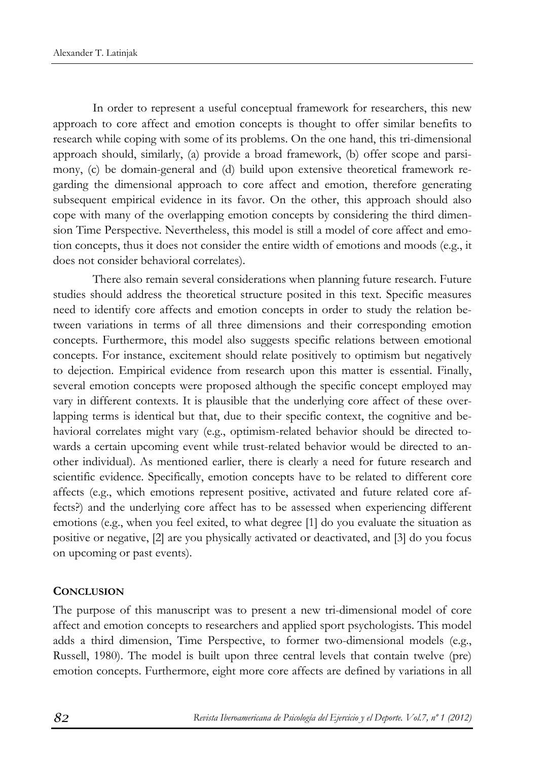In order to represent a useful conceptual framework for researchers, this new approach to core affect and emotion concepts is thought to offer similar benefits to research while coping with some of its problems. On the one hand, this tri-dimensional approach should, similarly, (a) provide a broad framework, (b) offer scope and parsimony, (c) be domain-general and (d) build upon extensive theoretical framework regarding the dimensional approach to core affect and emotion, therefore generating subsequent empirical evidence in its favor. On the other, this approach should also cope with many of the overlapping emotion concepts by considering the third dimension Time Perspective. Nevertheless, this model is still a model of core affect and emotion concepts, thus it does not consider the entire width of emotions and moods (e.g., it does not consider behavioral correlates).

 There also remain several considerations when planning future research. Future studies should address the theoretical structure posited in this text. Specific measures need to identify core affects and emotion concepts in order to study the relation between variations in terms of all three dimensions and their corresponding emotion concepts. Furthermore, this model also suggests specific relations between emotional concepts. For instance, excitement should relate positively to optimism but negatively to dejection. Empirical evidence from research upon this matter is essential. Finally, several emotion concepts were proposed although the specific concept employed may vary in different contexts. It is plausible that the underlying core affect of these overlapping terms is identical but that, due to their specific context, the cognitive and behavioral correlates might vary (e.g., optimism-related behavior should be directed towards a certain upcoming event while trust-related behavior would be directed to another individual). As mentioned earlier, there is clearly a need for future research and scientific evidence. Specifically, emotion concepts have to be related to different core affects (e.g., which emotions represent positive, activated and future related core affects?) and the underlying core affect has to be assessed when experiencing different emotions (e.g., when you feel exited, to what degree [1] do you evaluate the situation as positive or negative, [2] are you physically activated or deactivated, and [3] do you focus on upcoming or past events).

#### **CONCLUSION**

The purpose of this manuscript was to present a new tri-dimensional model of core affect and emotion concepts to researchers and applied sport psychologists. This model adds a third dimension, Time Perspective, to former two-dimensional models (e.g., Russell, 1980). The model is built upon three central levels that contain twelve (pre) emotion concepts. Furthermore, eight more core affects are defined by variations in all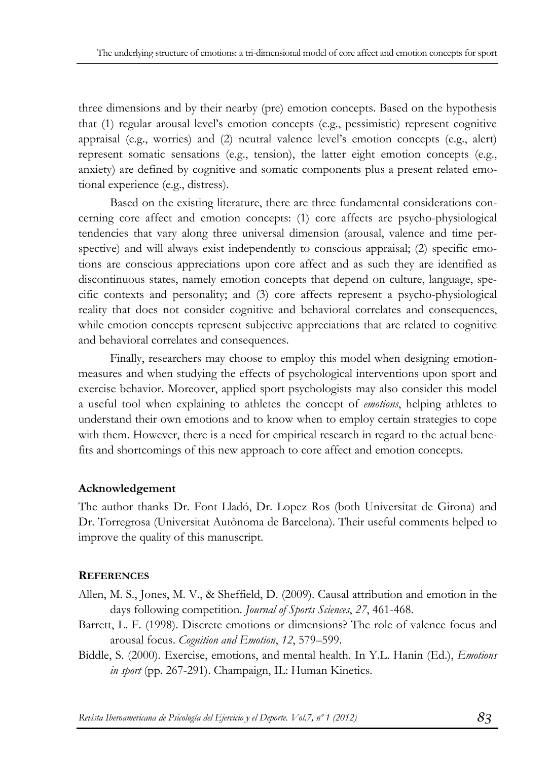three dimensions and by their nearby (pre) emotion concepts. Based on the hypothesis that (1) regular arousal level's emotion concepts (e.g., pessimistic) represent cognitive appraisal (e.g., worries) and (2) neutral valence level's emotion concepts (e.g., alert) represent somatic sensations (e.g., tension), the latter eight emotion concepts (e.g., anxiety) are defined by cognitive and somatic components plus a present related emotional experience (e.g., distress).

Based on the existing literature, there are three fundamental considerations concerning core affect and emotion concepts: (1) core affects are psycho-physiological tendencies that vary along three universal dimension (arousal, valence and time perspective) and will always exist independently to conscious appraisal; (2) specific emotions are conscious appreciations upon core affect and as such they are identified as discontinuous states, namely emotion concepts that depend on culture, language, specific contexts and personality; and (3) core affects represent a psycho-physiological reality that does not consider cognitive and behavioral correlates and consequences, while emotion concepts represent subjective appreciations that are related to cognitive and behavioral correlates and consequences.

Finally, researchers may choose to employ this model when designing emotionmeasures and when studying the effects of psychological interventions upon sport and exercise behavior. Moreover, applied sport psychologists may also consider this model a useful tool when explaining to athletes the concept of *emotions*, helping athletes to understand their own emotions and to know when to employ certain strategies to cope with them. However, there is a need for empirical research in regard to the actual benefits and shortcomings of this new approach to core affect and emotion concepts.

## **Acknowledgement**

The author thanks Dr. Font Lladó, Dr. Lopez Ros (both Universitat de Girona) and Dr. Torregrosa (Universitat Autònoma de Barcelona). Their useful comments helped to improve the quality of this manuscript.

#### **REFERENCES**

- Allen, M. S., Jones, M. V., & Sheffield, D. (2009). Causal attribution and emotion in the days following competition. *Journal of Sports Sciences*, *27*, 461-468.
- Barrett, L. F. (1998). Discrete emotions or dimensions? The role of valence focus and arousal focus. *Cognition and Emotion*, *12*, 579–599.
- Biddle, S. (2000). Exercise, emotions, and mental health. In Y.L. Hanin (Ed.), *Emotions in sport* (pp. 267-291). Champaign, IL: Human Kinetics.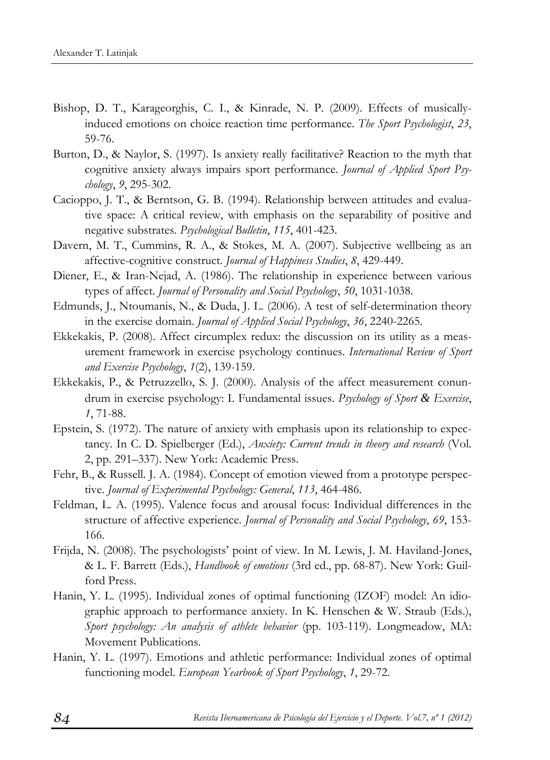- Bishop, D. T., Karageorghis, C. I., & Kinrade, N. P. (2009). Effects of musicallyinduced emotions on choice reaction time performance. *The Sport Psychologist*, *23*, 59-76.
- Burton, D., & Naylor, S. (1997). Is anxiety really facilitative? Reaction to the myth that cognitive anxiety always impairs sport performance. *Journal of Applied Sport Psychology*, *9*, 295-302.
- Cacioppo, J. T., & Berntson, G. B. (1994). Relationship between attitudes and evaluative space: A critical review, with emphasis on the separability of positive and negative substrates. *Psychological Bulletin*, *115*, 401-423.
- Davern, M. T., Cummins, R. A., & Stokes, M. A. (2007). Subjective wellbeing as an affective-cognitive construct. *Journal of Happiness Studies*, *8*, 429-449.
- Diener, E., & Iran-Nejad, A. (1986). The relationship in experience between various types of affect. *Journal of Personality and Social Psychology*, *50*, 1031-1038.
- Edmunds, J., Ntoumanis, N., & Duda, J. L. (2006). A test of self-determination theory in the exercise domain. *Journal of Applied Social Psychology*, *36*, 2240-2265.
- Ekkekakis, P. (2008). Affect circumplex redux: the discussion on its utility as a measurement framework in exercise psychology continues. *International Review of Sport and Exercise Psychology*, *1*(2), 139-159.
- Ekkekakis, P., & Petruzzello, S. J. (2000). Analysis of the affect measurement conundrum in exercise psychology: I. Fundamental issues. *Psychology of Sport & Exercise*, *1*, 71-88.
- Epstein, S. (1972). The nature of anxiety with emphasis upon its relationship to expectancy. In C. D. Spielberger (Ed.), *Anxiety: Current trends in theory and research* (Vol. 2, pp. 291–337). New York: Academic Press.
- Fehr, B., & Russell. J. A. (1984). Concept of emotion viewed from a prototype perspective. *Journal of Experimental Psychology: General*, *113*, 464-486.
- Feldman, L. A. (1995). Valence focus and arousal focus: Individual differences in the structure of affective experience. *Journal of Personality and Social Psychology*, *69*, 153- 166.
- Frijda, N. (2008). The psychologists' point of view. In M. Lewis, J. M. Haviland-Jones, & L. F. Barrett (Eds.), *Handbook of emotions* (3rd ed., pp. 68-87). New York: Guilford Press.
- Hanin, Y. L. (1995). Individual zones of optimal functioning (IZOF) model: An idiographic approach to performance anxiety. In K. Henschen & W. Straub (Eds.), *Sport psychology: An analysis of athlete behavior* (pp. 103-119). Longmeadow, MA: Movement Publications.
- Hanin, Y. L. (1997). Emotions and athletic performance: Individual zones of optimal functioning model. *European Yearbook of Sport Psychology*, *1*, 29-72.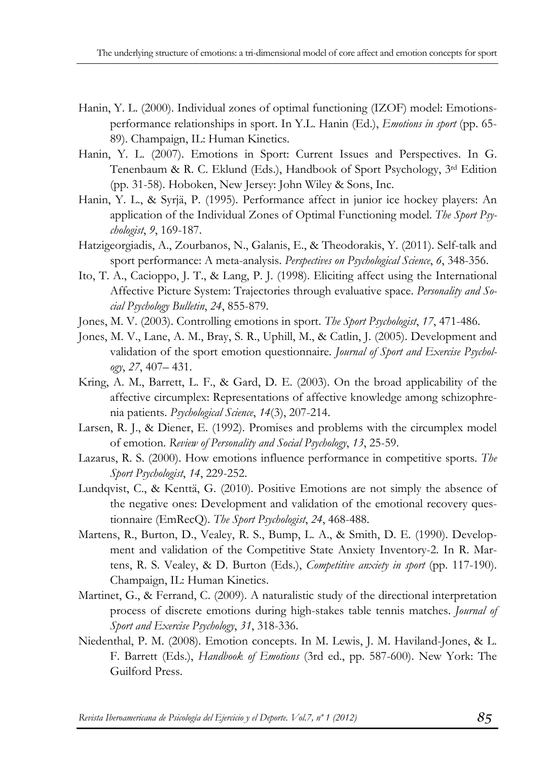- Hanin, Y. L. (2000). Individual zones of optimal functioning (IZOF) model: Emotionsperformance relationships in sport. In Y.L. Hanin (Ed.), *Emotions in sport* (pp. 65- 89). Champaign, IL: Human Kinetics.
- Hanin, Y. L. (2007). Emotions in Sport: Current Issues and Perspectives. In G. Tenenbaum & R. C. Eklund (Eds.), Handbook of Sport Psychology, 3rd Edition (pp. 31-58). Hoboken, New Jersey: John Wiley & Sons, Inc.
- Hanin, Y. L., & Syrjä, P. (1995). Performance affect in junior ice hockey players: An application of the Individual Zones of Optimal Functioning model. *The Sport Psychologist*, *9*, 169-187.
- Hatzigeorgiadis, A., Zourbanos, N., Galanis, E., & Theodorakis, Y. (2011). Self-talk and sport performance: A meta-analysis. *Perspectives on Psychological Science*, *6*, 348-356.
- Ito, T. A., Cacioppo, J. T., & Lang, P. J. (1998). Eliciting affect using the International Affective Picture System: Trajectories through evaluative space. *Personality and Social Psychology Bulletin*, *24*, 855-879.
- Jones, M. V. (2003). Controlling emotions in sport. *The Sport Psychologist*, *17*, 471-486.
- Jones, M. V., Lane, A. M., Bray, S. R., Uphill, M., & Catlin, J. (2005). Development and validation of the sport emotion questionnaire. *Journal of Sport and Exercise Psychology*, *27*, 407– 431.
- Kring, A. M., Barrett, L. F., & Gard, D. E. (2003). On the broad applicability of the affective circumplex: Representations of affective knowledge among schizophrenia patients. *Psychological Science*, *14*(3), 207-214.
- Larsen, R. J., & Diener, E. (1992). Promises and problems with the circumplex model of emotion. *Review of Personality and Social Psychology*, *13*, 25-59.
- Lazarus, R. S. (2000). How emotions influence performance in competitive sports. *The Sport Psychologist*, *14*, 229-252.
- Lundqvist, C., & Kenttä, G. (2010). Positive Emotions are not simply the absence of the negative ones: Development and validation of the emotional recovery questionnaire (EmRecQ). *The Sport Psychologist*, *24*, 468-488.
- Martens, R., Burton, D., Vealey, R. S., Bump, L. A., & Smith, D. E. (1990). Development and validation of the Competitive State Anxiety Inventory-2. In R. Martens, R. S. Vealey, & D. Burton (Eds.), *Competitive anxiety in sport* (pp. 117-190). Champaign, IL: Human Kinetics.
- Martinet, G., & Ferrand, C. (2009). A naturalistic study of the directional interpretation process of discrete emotions during high-stakes table tennis matches. *Journal of Sport and Exercise Psychology*, *31*, 318-336.
- Niedenthal, P. M. (2008). Emotion concepts. In M. Lewis, J. M. Haviland-Jones, & L. F. Barrett (Eds.), *Handbook of Emotions* (3rd ed., pp. 587-600). New York: The Guilford Press.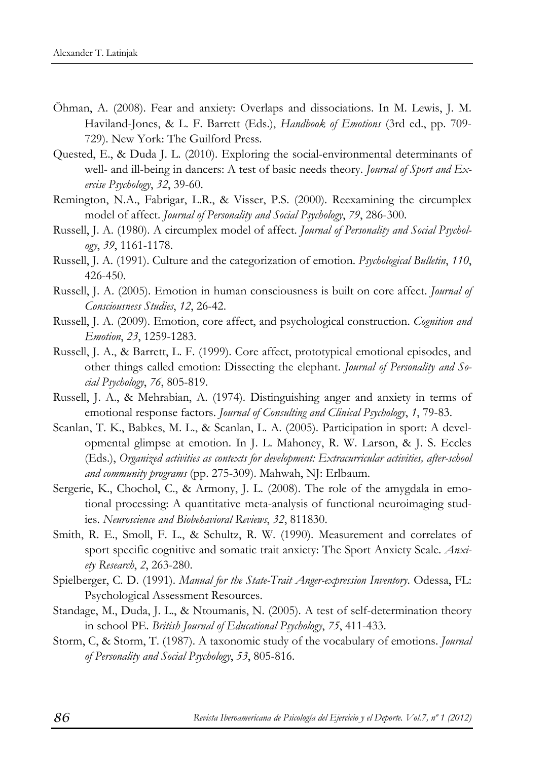- Öhman, A. (2008). Fear and anxiety: Overlaps and dissociations. In M. Lewis, J. M. Haviland-Jones, & L. F. Barrett (Eds.), *Handbook of Emotions* (3rd ed., pp. 709- 729). New York: The Guilford Press.
- Quested, E., & Duda J. L. (2010). Exploring the social-environmental determinants of well- and ill-being in dancers: A test of basic needs theory. *Journal of Sport and Exercise Psychology*, *32*, 39-60.
- Remington, N.A., Fabrigar, L.R., & Visser, P.S. (2000). Reexamining the circumplex model of affect. *Journal of Personality and Social Psychology*, *79*, 286-300.
- Russell, J. A. (1980). A circumplex model of affect. *Journal of Personality and Social Psychology*, *39*, 1161-1178.
- Russell, J. A. (1991). Culture and the categorization of emotion. *Psychological Bulletin*, *110*, 426-450.
- Russell, J. A. (2005). Emotion in human consciousness is built on core affect. *Journal of Consciousness Studies*, *12*, 26-42.
- Russell, J. A. (2009). Emotion, core affect, and psychological construction. *Cognition and Emotion*, *23*, 1259-1283.
- Russell, J. A., & Barrett, L. F. (1999). Core affect, prototypical emotional episodes, and other things called emotion: Dissecting the elephant. *Journal of Personality and Social Psychology*, *76*, 805-819.
- Russell, J. A., & Mehrabian, A. (1974). Distinguishing anger and anxiety in terms of emotional response factors. *Journal of Consulting and Clinical Psychology*, *1*, 79-83.
- Scanlan, T. K., Babkes, M. L., & Scanlan, L. A. (2005). Participation in sport: A developmental glimpse at emotion. In J. L. Mahoney, R. W. Larson, & J. S. Eccles (Eds.), *Organized activities as contexts for development: Extracurricular activities, after-school and community programs* (pp. 275-309). Mahwah, NJ: Erlbaum.
- Sergerie, K., Chochol, C., & Armony, J. L. (2008). The role of the amygdala in emotional processing: A quantitative meta-analysis of functional neuroimaging studies. *Neuroscience and Biobehavioral Reviews*, *32*, 811830.
- Smith, R. E., Smoll, F. L., & Schultz, R. W. (1990). Measurement and correlates of sport specific cognitive and somatic trait anxiety: The Sport Anxiety Scale. *Anxiety Research*, *2*, 263-280.
- Spielberger, C. D. (1991). *Manual for the State-Trait Anger-expression Inventory*. Odessa, FL: Psychological Assessment Resources.
- Standage, M., Duda, J. L., & Ntoumanis, N. (2005). A test of self-determination theory in school PE. *British Journal of Educational Psychology*, *75*, 411-433.
- Storm, C, & Storm, T. (1987). A taxonomic study of the vocabulary of emotions. *Journal of Personality and Social Psychology*, *53*, 805-816.